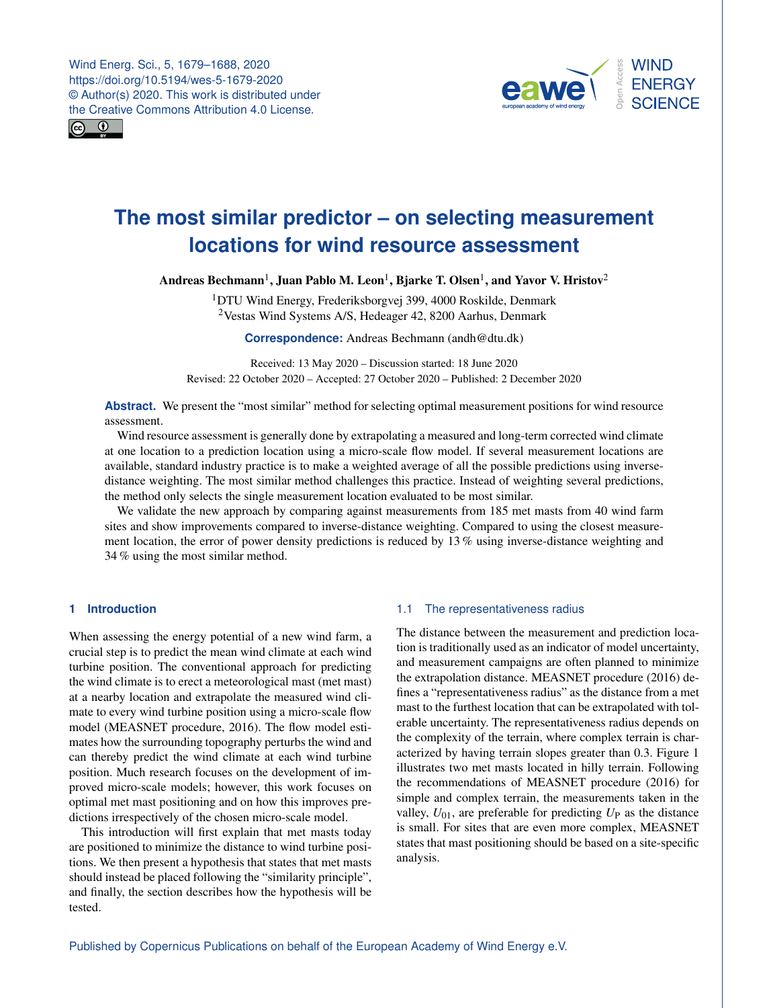



# **The most similar predictor – on selecting measurement locations for wind resource assessment**

Andreas Bechmann $^1$  $^1$ , Juan Pablo M. Leon $^1$ , Bjarke T. Olsen $^1$ , and Yavor V. Hristov $^2$  $^2$ 

 $1$ DTU Wind Energy, Frederiksborgvej 399, 4000 Roskilde, Denmark <sup>2</sup>Vestas Wind Systems A/S, Hedeager 42, 8200 Aarhus, Denmark

**Correspondence:** Andreas Bechmann (andh@dtu.dk)

Received: 13 May 2020 – Discussion started: 18 June 2020 Revised: 22 October 2020 – Accepted: 27 October 2020 – Published: 2 December 2020

**Abstract.** We present the "most similar" method for selecting optimal measurement positions for wind resource assessment.

Wind resource assessment is generally done by extrapolating a measured and long-term corrected wind climate at one location to a prediction location using a micro-scale flow model. If several measurement locations are available, standard industry practice is to make a weighted average of all the possible predictions using inversedistance weighting. The most similar method challenges this practice. Instead of weighting several predictions, the method only selects the single measurement location evaluated to be most similar.

We validate the new approach by comparing against measurements from 185 met masts from 40 wind farm sites and show improvements compared to inverse-distance weighting. Compared to using the closest measurement location, the error of power density predictions is reduced by 13 % using inverse-distance weighting and 34 % using the most similar method.

# <span id="page-0-0"></span>**1 Introduction**

When assessing the energy potential of a new wind farm, a crucial step is to predict the mean wind climate at each wind turbine position. The conventional approach for predicting the wind climate is to erect a meteorological mast (met mast) at a nearby location and extrapolate the measured wind climate to every wind turbine position using a micro-scale flow model [\(MEASNET procedure,](#page-9-0) [2016\)](#page-9-0). The flow model estimates how the surrounding topography perturbs the wind and can thereby predict the wind climate at each wind turbine position. Much research focuses on the development of improved micro-scale models; however, this work focuses on optimal met mast positioning and on how this improves predictions irrespectively of the chosen micro-scale model.

This introduction will first explain that met masts today are positioned to minimize the distance to wind turbine positions. We then present a hypothesis that states that met masts should instead be placed following the "similarity principle", and finally, the section describes how the hypothesis will be tested.

# 1.1 The representativeness radius

The distance between the measurement and prediction location is traditionally used as an indicator of model uncertainty, and measurement campaigns are often planned to minimize the extrapolation distance. [MEASNET procedure](#page-9-0) [\(2016\)](#page-9-0) defines a "representativeness radius" as the distance from a met mast to the furthest location that can be extrapolated with tolerable uncertainty. The representativeness radius depends on the complexity of the terrain, where complex terrain is characterized by having terrain slopes greater than 0.3. Figure [1](#page-1-0) illustrates two met masts located in hilly terrain. Following the recommendations of [MEASNET procedure](#page-9-0) [\(2016\)](#page-9-0) for simple and complex terrain, the measurements taken in the valley,  $U_{01}$ , are preferable for predicting  $U_{\rm P}$  as the distance is small. For sites that are even more complex, MEASNET states that mast positioning should be based on a site-specific analysis.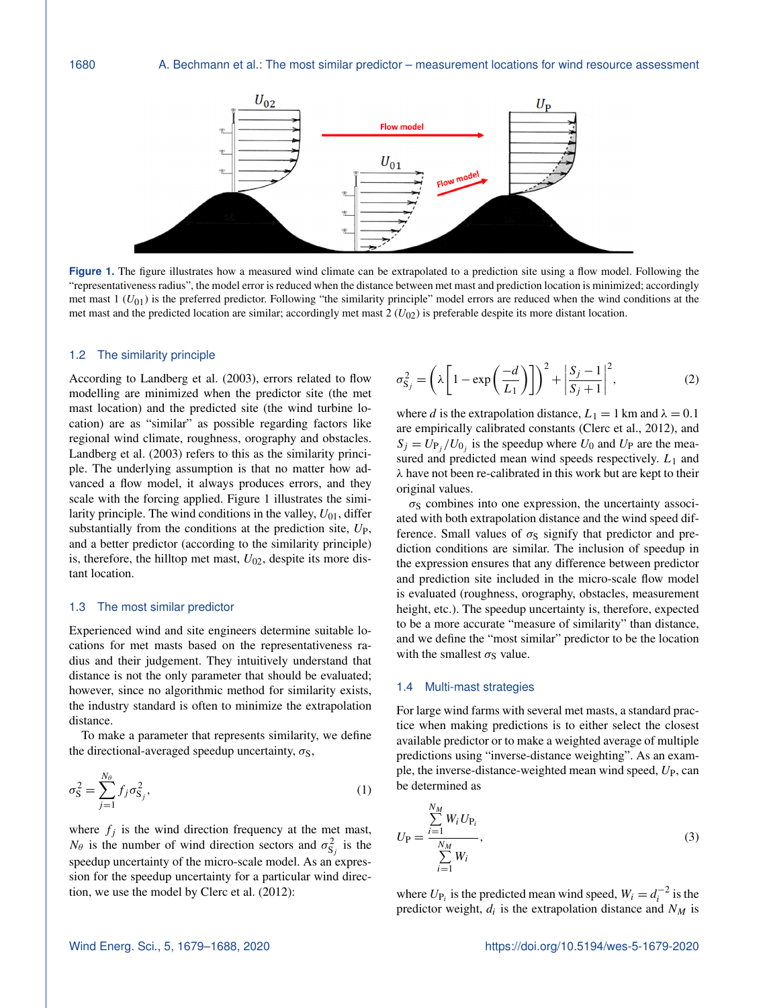<span id="page-1-0"></span>

Figure 1. The figure illustrates how a measured wind climate can be extrapolated to a prediction site using a flow model. Following the "representativeness radius", the model error is reduced when the distance between met mast and prediction location is minimized; accordingly met mast  $1 (U_{01})$  is the preferred predictor. Following "the similarity principle" model errors are reduced when the wind conditions at the met mast and the predicted location are similar; accordingly met mast  $2 (U_{02})$  is preferable despite its more distant location.

#### 1.2 The similarity principle

According to [Landberg et al.](#page-9-1) [\(2003\)](#page-9-1), errors related to flow modelling are minimized when the predictor site (the met mast location) and the predicted site (the wind turbine location) are as "similar" as possible regarding factors like regional wind climate, roughness, orography and obstacles. [Landberg et al.](#page-9-1) [\(2003\)](#page-9-1) refers to this as the similarity principle. The underlying assumption is that no matter how advanced a flow model, it always produces errors, and they scale with the forcing applied. Figure [1](#page-1-0) illustrates the similarity principle. The wind conditions in the valley,  $U_{01}$ , differ substantially from the conditions at the prediction site,  $U_{\rm P}$ , and a better predictor (according to the similarity principle) is, therefore, the hilltop met mast,  $U_{02}$ , despite its more distant location.

## 1.3 The most similar predictor

Experienced wind and site engineers determine suitable locations for met masts based on the representativeness radius and their judgement. They intuitively understand that distance is not the only parameter that should be evaluated; however, since no algorithmic method for similarity exists, the industry standard is often to minimize the extrapolation distance.

To make a parameter that represents similarity, we define the directional-averaged speedup uncertainty,  $\sigma_S$ ,

$$
\sigma_{\mathbf{S}}^2 = \sum_{j=1}^{N_\theta} f_j \sigma_{\mathbf{S}_j}^2,\tag{1}
$$

where  $f_j$  is the wind direction frequency at the met mast,  $N_{\theta}$  is the number of wind direction sectors and  $\sigma_{S_j}^2$  is the speedup uncertainty of the micro-scale model. As an expression for the speedup uncertainty for a particular wind direction, we use the model by [Clerc et al.](#page-9-2) [\(2012\)](#page-9-2):

$$
\sigma_{\mathbf{S}_j}^2 = \left(\lambda \left[1 - \exp\left(\frac{-d}{L_1}\right)\right]\right)^2 + \left|\frac{S_j - 1}{S_j + 1}\right|^2,\tag{2}
$$

where d is the extrapolation distance,  $L_1 = 1$  km and  $\lambda = 0.1$ are empirically calibrated constants [\(Clerc et al.,](#page-9-2) [2012\)](#page-9-2), and  $S_j = U_{P_j}/U_{0_j}$  is the speedup where  $U_0$  and  $U_P$  are the measured and predicted mean wind speeds respectively.  $L_1$  and λ have not been re-calibrated in this work but are kept to their original values.

 $\sigma<sub>S</sub>$  combines into one expression, the uncertainty associated with both extrapolation distance and the wind speed difference. Small values of  $\sigma_S$  signify that predictor and prediction conditions are similar. The inclusion of speedup in the expression ensures that any difference between predictor and prediction site included in the micro-scale flow model is evaluated (roughness, orography, obstacles, measurement height, etc.). The speedup uncertainty is, therefore, expected to be a more accurate "measure of similarity" than distance, and we define the "most similar" predictor to be the location with the smallest  $\sigma_S$  value.

## <span id="page-1-1"></span>1.4 Multi-mast strategies

For large wind farms with several met masts, a standard practice when making predictions is to either select the closest available predictor or to make a weighted average of multiple predictions using "inverse-distance weighting". As an example, the inverse-distance-weighted mean wind speed,  $U_P$ , can be determined as

$$
U_{\rm P} = \frac{\sum_{i=1}^{N_M} W_i U_{\rm P_i}}{\sum_{i=1}^{N_M} W_i},
$$
\n(3)

where  $U_{P_i}$  is the predicted mean wind speed,  $W_i = d_i^{-2}$  is the predictor weight,  $d_i$  is the extrapolation distance and  $N_M$  is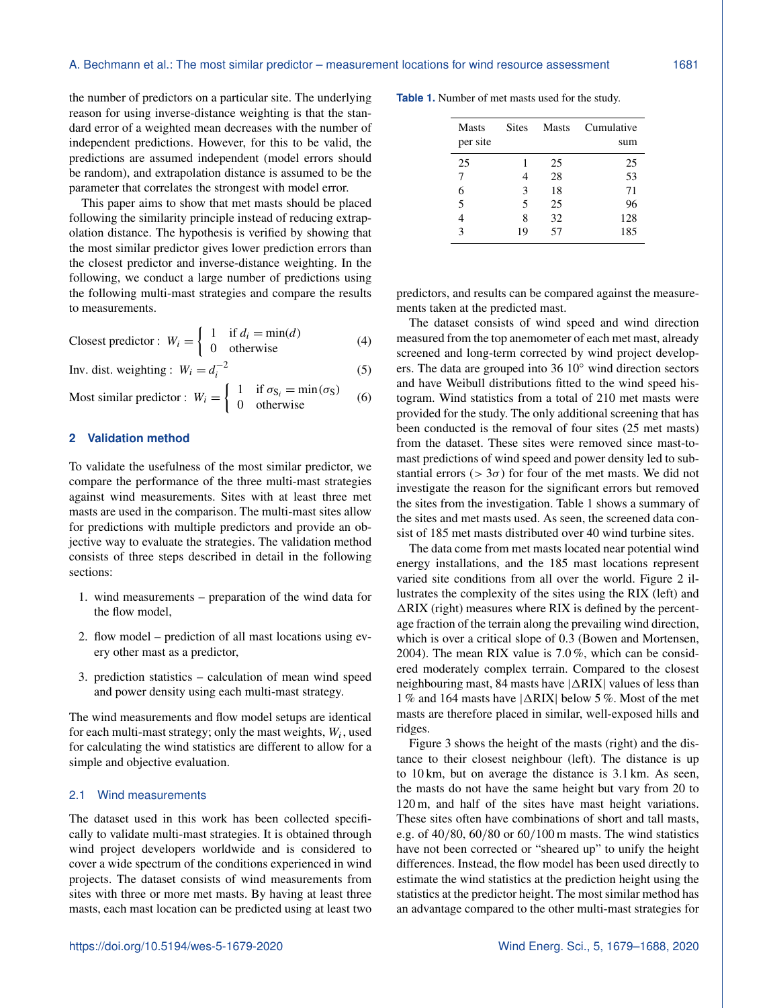(5)

the number of predictors on a particular site. The underlying reason for using inverse-distance weighting is that the standard error of a weighted mean decreases with the number of independent predictions. However, for this to be valid, the predictions are assumed independent (model errors should be random), and extrapolation distance is assumed to be the parameter that correlates the strongest with model error.

This paper aims to show that met masts should be placed following the similarity principle instead of reducing extrapolation distance. The hypothesis is verified by showing that the most similar predictor gives lower prediction errors than the closest predictor and inverse-distance weighting. In the following, we conduct a large number of predictions using the following multi-mast strategies and compare the results to measurements.

$$
\text{Closes predictor: } W_i = \begin{cases} 1 & \text{if } d_i = \min(d) \\ 0 & \text{otherwise} \end{cases} \tag{4}
$$

Inv. dist. weighting :  $W_i = d_i^{-2}$ 

Most similar predictor : 
$$
W_i = \begin{cases} 1 & \text{if } \sigma_{S_i} = \min(\sigma_S) \\ 0 & \text{otherwise} \end{cases}
$$
 (6)

# **2 Validation method**

To validate the usefulness of the most similar predictor, we compare the performance of the three multi-mast strategies against wind measurements. Sites with at least three met masts are used in the comparison. The multi-mast sites allow for predictions with multiple predictors and provide an objective way to evaluate the strategies. The validation method consists of three steps described in detail in the following sections:

- 1. wind measurements preparation of the wind data for the flow model,
- 2. flow model prediction of all mast locations using every other mast as a predictor,
- 3. prediction statistics calculation of mean wind speed and power density using each multi-mast strategy.

The wind measurements and flow model setups are identical for each multi-mast strategy; only the mast weights,  $W_i$ , used for calculating the wind statistics are different to allow for a simple and objective evaluation.

#### 2.1 Wind measurements

The dataset used in this work has been collected specifically to validate multi-mast strategies. It is obtained through wind project developers worldwide and is considered to cover a wide spectrum of the conditions experienced in wind projects. The dataset consists of wind measurements from sites with three or more met masts. By having at least three masts, each mast location can be predicted using at least two

<span id="page-2-0"></span>**Table 1.** Number of met masts used for the study.

| <b>Masts</b><br>per site | <b>Sites</b> | <b>Masts</b> | Cumulative<br>sum |
|--------------------------|--------------|--------------|-------------------|
| 25                       |              | 25           | 25                |
|                          |              | 28           | 53                |
| 6                        | 3            | 18           | 71                |
| 5                        | 5            | 25           | 96                |
|                          | 8            | 32           | 128               |
| ζ                        | 19           | 57           | 185               |

predictors, and results can be compared against the measurements taken at the predicted mast.

The dataset consists of wind speed and wind direction measured from the top anemometer of each met mast, already screened and long-term corrected by wind project developers. The data are grouped into 36 10◦ wind direction sectors and have Weibull distributions fitted to the wind speed histogram. Wind statistics from a total of 210 met masts were provided for the study. The only additional screening that has been conducted is the removal of four sites (25 met masts) from the dataset. These sites were removed since mast-tomast predictions of wind speed and power density led to substantial errors ( $> 3\sigma$ ) for four of the met masts. We did not investigate the reason for the significant errors but removed the sites from the investigation. Table [1](#page-2-0) shows a summary of the sites and met masts used. As seen, the screened data consist of 185 met masts distributed over 40 wind turbine sites.

The data come from met masts located near potential wind energy installations, and the 185 mast locations represent varied site conditions from all over the world. Figure [2](#page-3-0) illustrates the complexity of the sites using the RIX (left) and  $\Delta$ RIX (right) measures where RIX is defined by the percentage fraction of the terrain along the prevailing wind direction, which is over a critical slope of 0.3 [\(Bowen and Mortensen,](#page-9-3) [2004\)](#page-9-3). The mean RIX value is 7.0 %, which can be considered moderately complex terrain. Compared to the closest neighbouring mast, 84 masts have  $|\Delta RIX|$  values of less than 1% and 164 masts have  $|\Delta RIX|$  below 5%. Most of the met masts are therefore placed in similar, well-exposed hills and ridges.

Figure [3](#page-3-1) shows the height of the masts (right) and the distance to their closest neighbour (left). The distance is up to 10 km, but on average the distance is 3.1 km. As seen, the masts do not have the same height but vary from 20 to 120 m, and half of the sites have mast height variations. These sites often have combinations of short and tall masts, e.g. of 40/80, 60/80 or 60/100 m masts. The wind statistics have not been corrected or "sheared up" to unify the height differences. Instead, the flow model has been used directly to estimate the wind statistics at the prediction height using the statistics at the predictor height. The most similar method has an advantage compared to the other multi-mast strategies for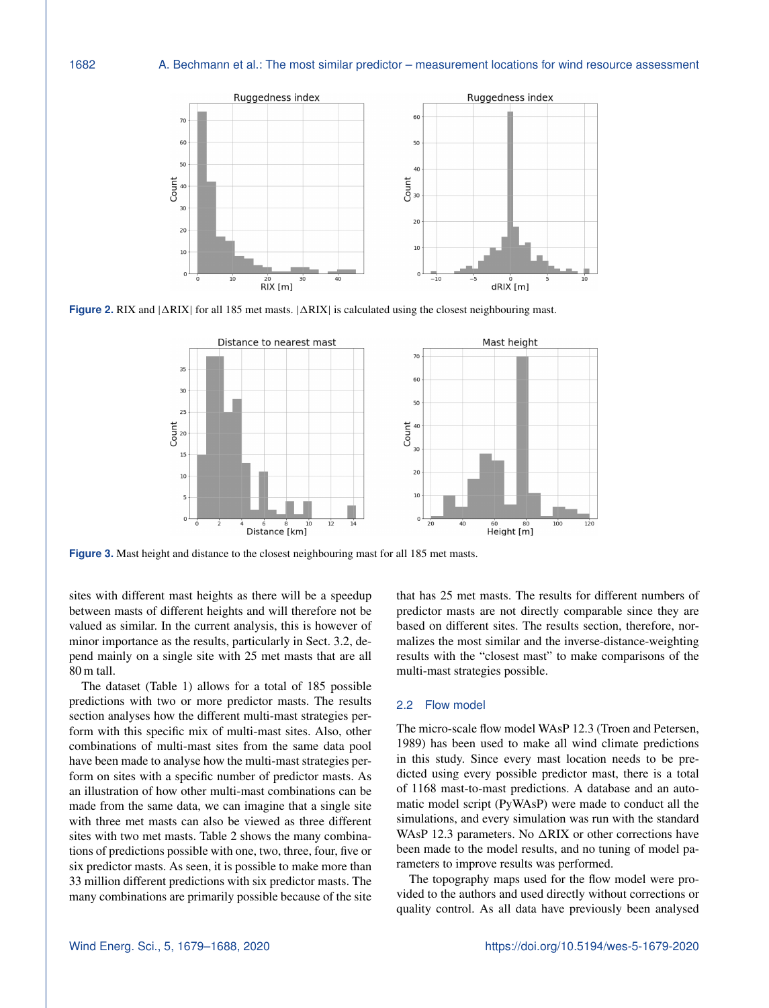<span id="page-3-0"></span>

<span id="page-3-1"></span>**Figure 2.** RIX and  $|\Delta RIX|$  for all 185 met masts.  $|\Delta RIX|$  is calculated using the closest neighbouring mast.



**Figure 3.** Mast height and distance to the closest neighbouring mast for all 185 met masts.

sites with different mast heights as there will be a speedup between masts of different heights and will therefore not be valued as similar. In the current analysis, this is however of minor importance as the results, particularly in Sect. [3.2,](#page-6-0) depend mainly on a single site with 25 met masts that are all 80 m tall.

The dataset (Table [1\)](#page-2-0) allows for a total of 185 possible predictions with two or more predictor masts. The results section analyses how the different multi-mast strategies perform with this specific mix of multi-mast sites. Also, other combinations of multi-mast sites from the same data pool have been made to analyse how the multi-mast strategies perform on sites with a specific number of predictor masts. As an illustration of how other multi-mast combinations can be made from the same data, we can imagine that a single site with three met masts can also be viewed as three different sites with two met masts. Table [2](#page-4-0) shows the many combinations of predictions possible with one, two, three, four, five or six predictor masts. As seen, it is possible to make more than 33 million different predictions with six predictor masts. The many combinations are primarily possible because of the site that has 25 met masts. The results for different numbers of predictor masts are not directly comparable since they are based on different sites. The results section, therefore, normalizes the most similar and the inverse-distance-weighting results with the "closest mast" to make comparisons of the multi-mast strategies possible.

### 2.2 Flow model

The micro-scale flow model WAsP 12.3 [\(Troen and Petersen,](#page-9-4) [1989\)](#page-9-4) has been used to make all wind climate predictions in this study. Since every mast location needs to be predicted using every possible predictor mast, there is a total of 1168 mast-to-mast predictions. A database and an automatic model script (PyWAsP) were made to conduct all the simulations, and every simulation was run with the standard WAsP 12.3 parameters. No  $\triangle RIX$  or other corrections have been made to the model results, and no tuning of model parameters to improve results was performed.

The topography maps used for the flow model were provided to the authors and used directly without corrections or quality control. As all data have previously been analysed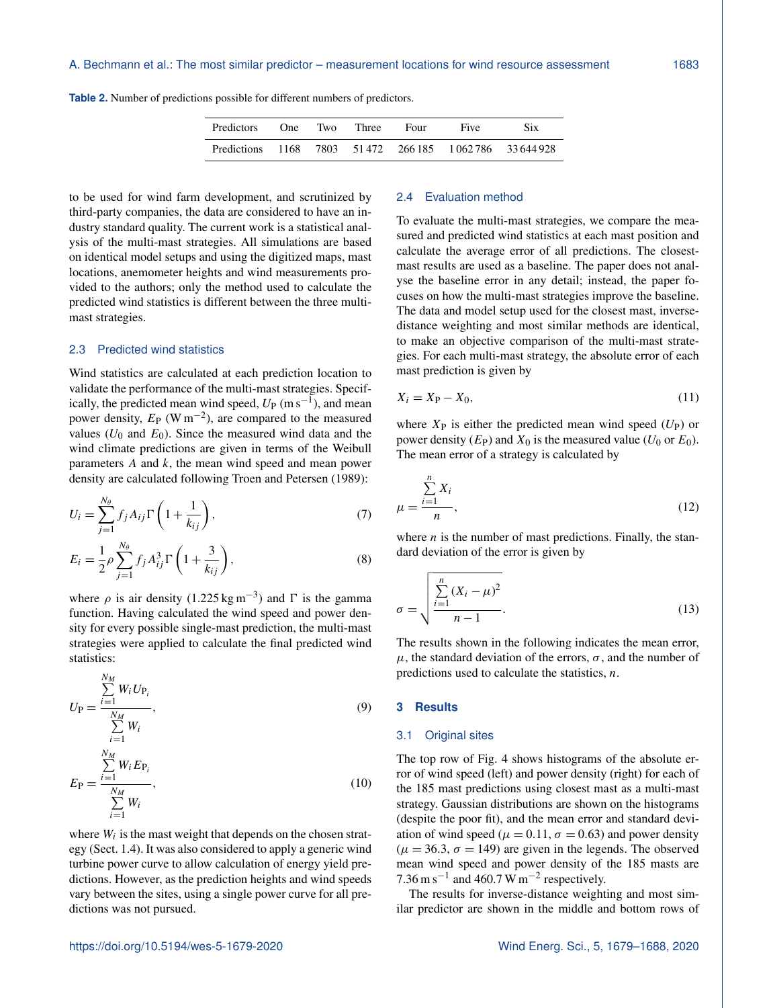<span id="page-4-0"></span>

|  |  |  |  |  |  |  |  |  |  |  |  |  |  |  |  |  |  |  | <b>Table 2.</b> Number of predictions possible for different numbers of predictors. |  |
|--|--|--|--|--|--|--|--|--|--|--|--|--|--|--|--|--|--|--|-------------------------------------------------------------------------------------|--|
|--|--|--|--|--|--|--|--|--|--|--|--|--|--|--|--|--|--|--|-------------------------------------------------------------------------------------|--|

| <b>Predictors</b>                                       | One. | Two | Three | Four | Five | Six |
|---------------------------------------------------------|------|-----|-------|------|------|-----|
| Predictions 1168 7803 51472 266.185 1062.786 33.644.928 |      |     |       |      |      |     |

to be used for wind farm development, and scrutinized by third-party companies, the data are considered to have an industry standard quality. The current work is a statistical analysis of the multi-mast strategies. All simulations are based on identical model setups and using the digitized maps, mast locations, anemometer heights and wind measurements provided to the authors; only the method used to calculate the predicted wind statistics is different between the three multimast strategies.

### 2.3 Predicted wind statistics

Wind statistics are calculated at each prediction location to validate the performance of the multi-mast strategies. Specifically, the predicted mean wind speed,  $U_P$  (m s<sup>-1</sup>), and mean power density,  $E_P$  (W m<sup>-2</sup>), are compared to the measured values ( $U_0$  and  $E_0$ ). Since the measured wind data and the wind climate predictions are given in terms of the Weibull parameters A and k, the mean wind speed and mean power density are calculated following [Troen and Petersen](#page-9-4) [\(1989\)](#page-9-4):

$$
U_i = \sum_{j=1}^{N_{\theta}} f_j A_{ij} \Gamma\left(1 + \frac{1}{k_{ij}}\right),\tag{7}
$$

$$
E_i = \frac{1}{2} \rho \sum_{j=1}^{N_{\theta}} f_j A_{ij}^3 \Gamma \left( 1 + \frac{3}{k_{ij}} \right),
$$
 (8)

where  $\rho$  is air density (1.225 kg m<sup>-3</sup>) and  $\Gamma$  is the gamma function. Having calculated the wind speed and power density for every possible single-mast prediction, the multi-mast strategies were applied to calculate the final predicted wind statistics:

$$
U_{\rm P} = \frac{\sum_{i=1}^{N_M} W_i U_{\rm P_i}}{\sum_{i=1}^{N_M} W_i},\tag{9}
$$

$$
E_{\rm P} = \frac{\sum_{i=1}^{N_M} W_i E_{\rm P_i}}{\sum_{i=1}^{N_M} W_i},
$$
\n(10)

where  $W_i$  is the mast weight that depends on the chosen strategy (Sect. [1.4\)](#page-1-1). It was also considered to apply a generic wind turbine power curve to allow calculation of energy yield predictions. However, as the prediction heights and wind speeds vary between the sites, using a single power curve for all predictions was not pursued.

#### 2.4 Evaluation method

To evaluate the multi-mast strategies, we compare the measured and predicted wind statistics at each mast position and calculate the average error of all predictions. The closestmast results are used as a baseline. The paper does not analyse the baseline error in any detail; instead, the paper focuses on how the multi-mast strategies improve the baseline. The data and model setup used for the closest mast, inversedistance weighting and most similar methods are identical, to make an objective comparison of the multi-mast strategies. For each multi-mast strategy, the absolute error of each mast prediction is given by

$$
X_i = X_{\mathcal{P}} - X_0,\tag{11}
$$

where  $X_{\rm P}$  is either the predicted mean wind speed  $(U_{\rm P})$  or power density  $(E_P)$  and  $X_0$  is the measured value  $(U_0$  or  $E_0)$ . The mean error of a strategy is calculated by

$$
\mu = \frac{\sum_{i=1}^{n} X_i}{n},\tag{12}
$$

where  $n$  is the number of mast predictions. Finally, the standard deviation of the error is given by

$$
\sigma = \sqrt{\frac{\sum_{i=1}^{n} (X_i - \mu)^2}{n - 1}}.
$$
\n(13)

The results shown in the following indicates the mean error,  $\mu$ , the standard deviation of the errors,  $\sigma$ , and the number of predictions used to calculate the statistics,  $n$ .

## **3 Results**

## 3.1 Original sites

The top row of Fig. [4](#page-5-0) shows histograms of the absolute error of wind speed (left) and power density (right) for each of the 185 mast predictions using closest mast as a multi-mast strategy. Gaussian distributions are shown on the histograms (despite the poor fit), and the mean error and standard deviation of wind speed ( $\mu = 0.11$ ,  $\sigma = 0.63$ ) and power density  $(\mu = 36.3, \sigma = 149)$  are given in the legends. The observed mean wind speed and power density of the 185 masts are 7.36 m s<sup>-1</sup> and 460.7 W m<sup>-2</sup> respectively.

The results for inverse-distance weighting and most similar predictor are shown in the middle and bottom rows of

 $i=1$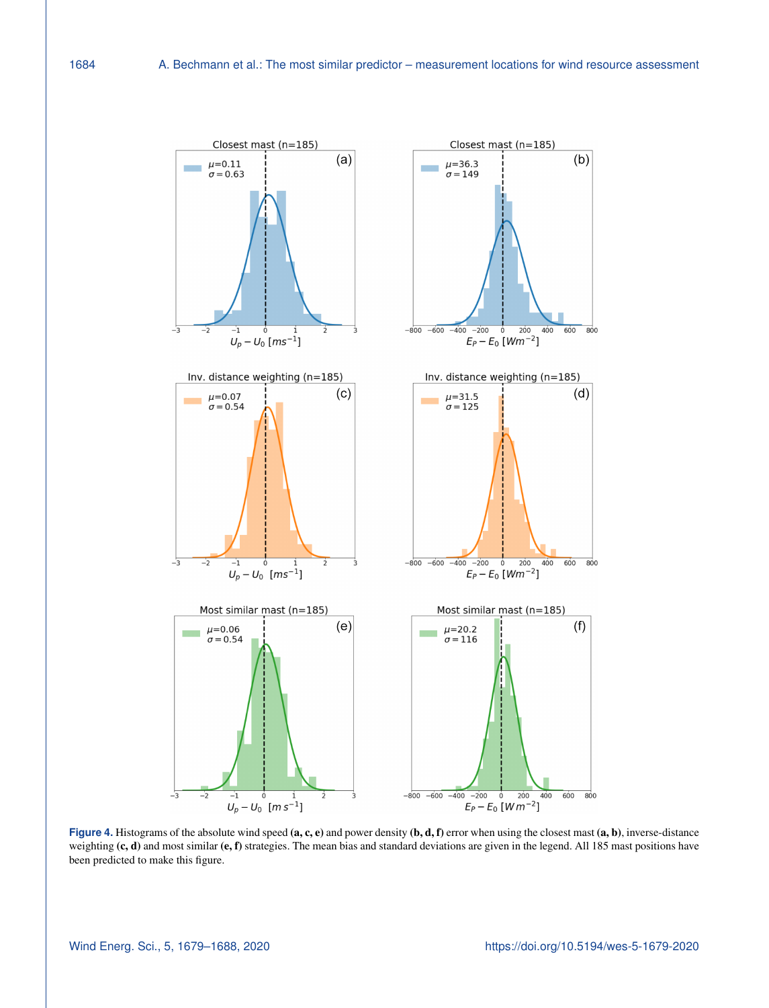<span id="page-5-0"></span>

**Figure 4.** Histograms of the absolute wind speed (a, c, e) and power density (b, d, f) error when using the closest mast (a, b), inverse-distance weighting (c, d) and most similar (e, f) strategies. The mean bias and standard deviations are given in the legend. All 185 mast positions have been predicted to make this figure.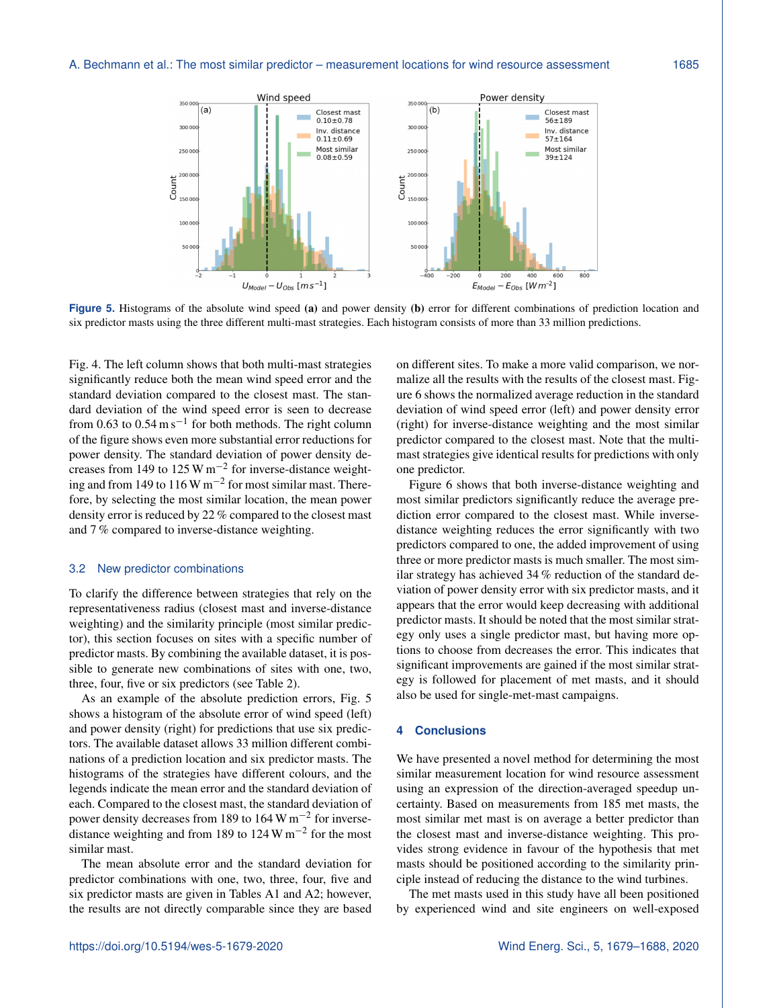<span id="page-6-1"></span>

**Figure 5.** Histograms of the absolute wind speed (a) and power density (b) error for different combinations of prediction location and six predictor masts using the three different multi-mast strategies. Each histogram consists of more than 33 million predictions.

Fig. [4.](#page-5-0) The left column shows that both multi-mast strategies significantly reduce both the mean wind speed error and the standard deviation compared to the closest mast. The standard deviation of the wind speed error is seen to decrease from 0.63 to  $0.54 \text{ m s}^{-1}$  for both methods. The right column of the figure shows even more substantial error reductions for power density. The standard deviation of power density decreases from 149 to 125 W m−<sup>2</sup> for inverse-distance weighting and from 149 to 116 W m−<sup>2</sup> for most similar mast. Therefore, by selecting the most similar location, the mean power density error is reduced by 22 % compared to the closest mast and 7 % compared to inverse-distance weighting.

#### <span id="page-6-0"></span>3.2 New predictor combinations

To clarify the difference between strategies that rely on the representativeness radius (closest mast and inverse-distance weighting) and the similarity principle (most similar predictor), this section focuses on sites with a specific number of predictor masts. By combining the available dataset, it is possible to generate new combinations of sites with one, two, three, four, five or six predictors (see Table [2\)](#page-4-0).

As an example of the absolute prediction errors, Fig. [5](#page-6-1) shows a histogram of the absolute error of wind speed (left) and power density (right) for predictions that use six predictors. The available dataset allows 33 million different combinations of a prediction location and six predictor masts. The histograms of the strategies have different colours, and the legends indicate the mean error and the standard deviation of each. Compared to the closest mast, the standard deviation of power density decreases from 189 to 164 W m<sup>-2</sup> for inversedistance weighting and from 189 to 124 W  $\text{m}^{-2}$  for the most similar mast.

The mean absolute error and the standard deviation for predictor combinations with one, two, three, four, five and six predictor masts are given in Tables [A1](#page-8-0) and [A2;](#page-8-1) however, the results are not directly comparable since they are based

on different sites. To make a more valid comparison, we normalize all the results with the results of the closest mast. Figure [6](#page-7-0) shows the normalized average reduction in the standard deviation of wind speed error (left) and power density error (right) for inverse-distance weighting and the most similar predictor compared to the closest mast. Note that the multimast strategies give identical results for predictions with only one predictor.

Figure [6](#page-7-0) shows that both inverse-distance weighting and most similar predictors significantly reduce the average prediction error compared to the closest mast. While inversedistance weighting reduces the error significantly with two predictors compared to one, the added improvement of using three or more predictor masts is much smaller. The most similar strategy has achieved 34 % reduction of the standard deviation of power density error with six predictor masts, and it appears that the error would keep decreasing with additional predictor masts. It should be noted that the most similar strategy only uses a single predictor mast, but having more options to choose from decreases the error. This indicates that significant improvements are gained if the most similar strategy is followed for placement of met masts, and it should also be used for single-met-mast campaigns.

#### **4 Conclusions**

We have presented a novel method for determining the most similar measurement location for wind resource assessment using an expression of the direction-averaged speedup uncertainty. Based on measurements from 185 met masts, the most similar met mast is on average a better predictor than the closest mast and inverse-distance weighting. This provides strong evidence in favour of the hypothesis that met masts should be positioned according to the similarity principle instead of reducing the distance to the wind turbines.

The met masts used in this study have all been positioned by experienced wind and site engineers on well-exposed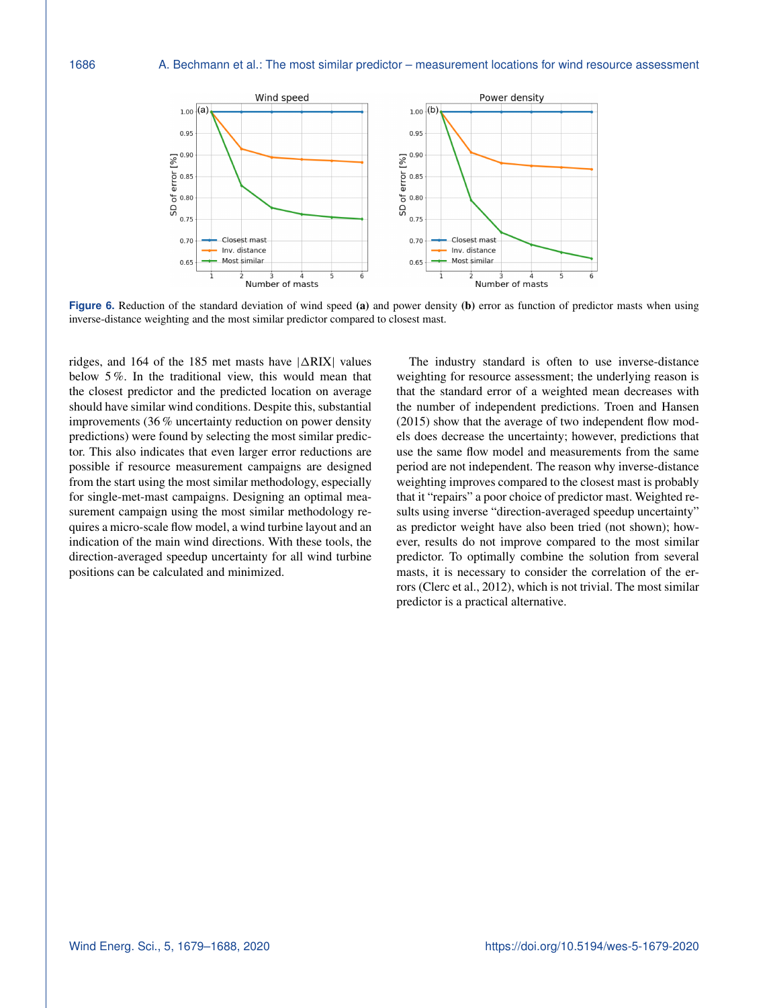<span id="page-7-0"></span>

**Figure 6.** Reduction of the standard deviation of wind speed (a) and power density (b) error as function of predictor masts when using inverse-distance weighting and the most similar predictor compared to closest mast.

ridges, and 164 of the 185 met masts have  $|\Delta RIX|$  values below 5 %. In the traditional view, this would mean that the closest predictor and the predicted location on average should have similar wind conditions. Despite this, substantial improvements (36 % uncertainty reduction on power density predictions) were found by selecting the most similar predictor. This also indicates that even larger error reductions are possible if resource measurement campaigns are designed from the start using the most similar methodology, especially for single-met-mast campaigns. Designing an optimal measurement campaign using the most similar methodology requires a micro-scale flow model, a wind turbine layout and an indication of the main wind directions. With these tools, the direction-averaged speedup uncertainty for all wind turbine positions can be calculated and minimized.

The industry standard is often to use inverse-distance weighting for resource assessment; the underlying reason is that the standard error of a weighted mean decreases with the number of independent predictions. [Troen and Hansen](#page-9-5) [\(2015\)](#page-9-5) show that the average of two independent flow models does decrease the uncertainty; however, predictions that use the same flow model and measurements from the same period are not independent. The reason why inverse-distance weighting improves compared to the closest mast is probably that it "repairs" a poor choice of predictor mast. Weighted results using inverse "direction-averaged speedup uncertainty" as predictor weight have also been tried (not shown); however, results do not improve compared to the most similar predictor. To optimally combine the solution from several masts, it is necessary to consider the correlation of the errors [\(Clerc et al.,](#page-9-2) [2012\)](#page-9-2), which is not trivial. The most similar predictor is a practical alternative.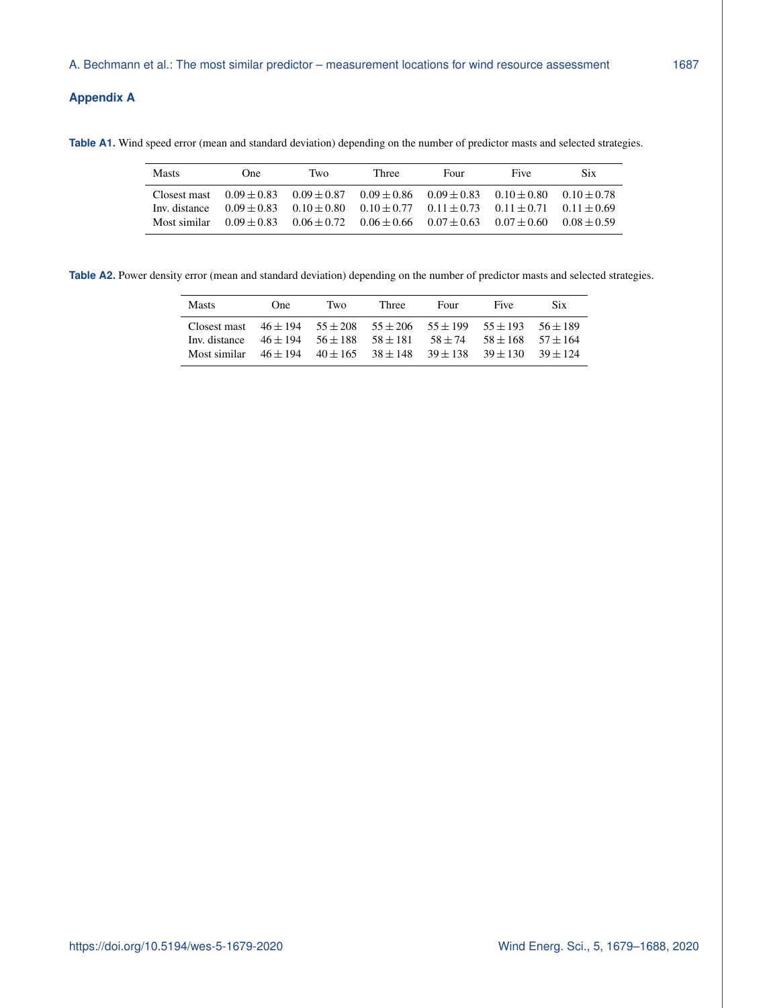# **Appendix A**

<span id="page-8-0"></span>**Table A1.** Wind speed error (mean and standard deviation) depending on the number of predictor masts and selected strategies.

| Masts         | One | Two | Three                                                                                           | Four | Five | <b>Six</b>    |
|---------------|-----|-----|-------------------------------------------------------------------------------------------------|------|------|---------------|
| Closest mast  |     |     | $0.09 \pm 0.83$ $0.09 \pm 0.87$ $0.09 \pm 0.86$ $0.09 \pm 0.83$ $0.10 \pm 0.80$ $0.10 \pm 0.78$ |      |      |               |
| Inv. distance |     |     | $0.09 \pm 0.83$ $0.10 \pm 0.80$ $0.10 \pm 0.77$ $0.11 \pm 0.73$ $0.11 \pm 0.71$ $0.11 \pm 0.69$ |      |      |               |
| Most similar  |     |     | $0.09 \pm 0.83$ $0.06 \pm 0.72$ $0.06 \pm 0.66$ $0.07 \pm 0.63$ $0.07 \pm 0.60$                 |      |      | $0.08 + 0.59$ |

<span id="page-8-1"></span>Table A2. Power density error (mean and standard deviation) depending on the number of predictor masts and selected strategies.

| <b>Masts</b>                                                                  | One                       | Two | Three        | Four         | <b>Five</b>           | Six.       |
|-------------------------------------------------------------------------------|---------------------------|-----|--------------|--------------|-----------------------|------------|
| Closest mast $46 \pm 194$ $55 \pm 208$ $55 \pm 206$ $55 \pm 199$ $55 \pm 193$ |                           |     |              |              |                       | $56 + 189$ |
| Inv. distance                                                                 | $46 \pm 194$ $56 \pm 188$ |     | $58 \pm 181$ | $58 \pm 74$  | $58 + 168$ $57 + 164$ |            |
| Most similar $46 \pm 194$ $40 \pm 165$ $38 \pm 148$                           |                           |     |              | $39 \pm 138$ | $39 \pm 130$          | $39 + 124$ |